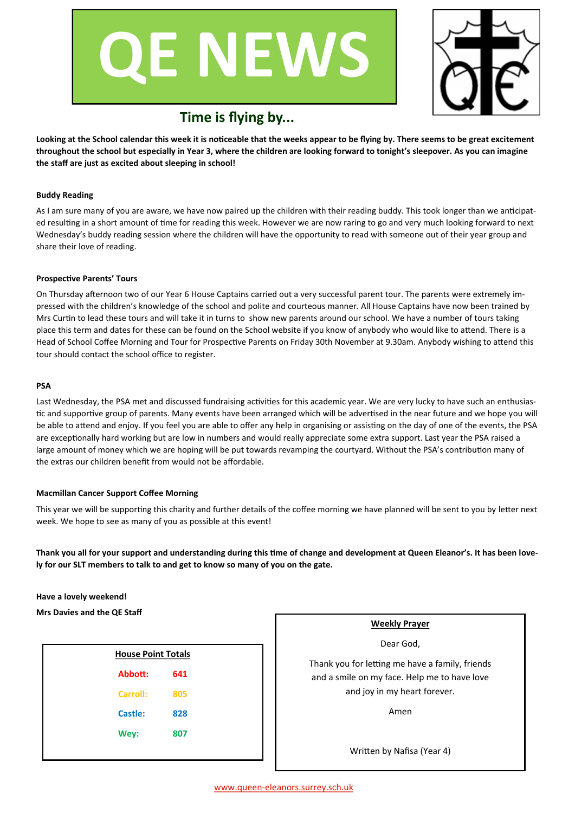



# **Time is flying by...**

**Looking at the School calendar this week it is noticeable that the weeks appear to be flying by. There seems to be great excitement throughout the school but especially in Year 3, where the children are looking forward to tonight's sleepover. As you can imagine the staff are just as excited about sleeping in school!** 

# **Buddy Reading**

As I am sure many of you are aware, we have now paired up the children with their reading buddy. This took longer than we anticipated resulting in a short amount of time for reading this week. However we are now raring to go and very much looking forward to next Wednesday's buddy reading session where the children will have the opportunity to read with someone out of their year group and share their love of reading.

### **Prospective Parents' Tours**

On Thursday afternoon two of our Year 6 House Captains carried out a very successful parent tour. The parents were extremely impressed with the children's knowledge of the school and polite and courteous manner. All House Captains have now been trained by Mrs Curtin to lead these tours and will take it in turns to show new parents around our school. We have a number of tours taking place this term and dates for these can be found on the School website if you know of anybody who would like to attend. There is a Head of School Coffee Morning and Tour for Prospective Parents on Friday 30th November at 9.30am. Anybody wishing to attend this tour should contact the school office to register.

### **PSA**

Last Wednesday, the PSA met and discussed fundraising activities for this academic year. We are very lucky to have such an enthusiastic and supportive group of parents. Many events have been arranged which will be advertised in the near future and we hope you will be able to attend and enjoy. If you feel you are able to offer any help in organising or assisting on the day of one of the events, the PSA are exceptionally hard working but are low in numbers and would really appreciate some extra support. Last year the PSA raised a large amount of money which we are hoping will be put towards revamping the courtyard. Without the PSA's contribution many of the extras our children benefit from would not be affordable.

# **Macmillan Cancer Support Coffee Morning**

This year we will be supporting this charity and further details of the coffee morning we have planned will be sent to you by letter next week. We hope to see as many of you as possible at this event!

**Thank you all for your support and understanding during this time of change and development at Queen Eleanor's. It has been lovely for our SLT members to talk to and get to know so many of you on the gate.** 

**Have a lovely weekend!**

**Mrs Davies and the QE Staff** 

| <b>House Point Totals</b> |     |  |
|---------------------------|-----|--|
| Abbott:                   | 641 |  |
| Carroll:                  | 805 |  |
| Castle:                   | 828 |  |
| Wey:                      | 807 |  |
|                           |     |  |

**Weekly Prayer**

Dear God,

Thank you for letting me have a family, friends and a smile on my face. Help me to have love and joy in my heart forever.

Amen

Written by Nafisa (Year 4)